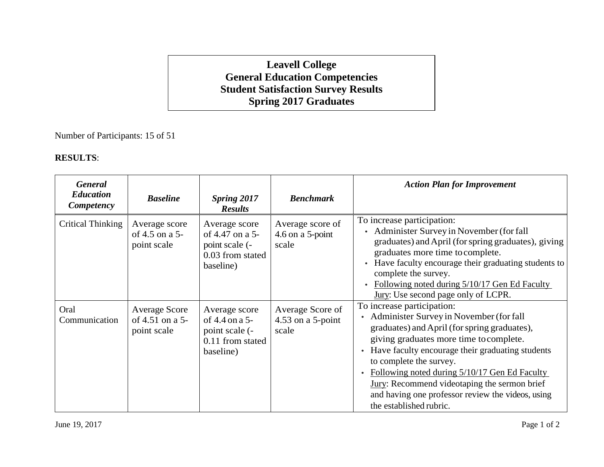## **Leavell College General Education Competencies Student Satisfaction Survey Results Spring 2017 Graduates**

Number of Participants: 15 of 51

## **RESULTS**:

| <b>General</b><br><b>Education</b><br>Competency | <b>Baseline</b>                                        | <b>Spring 2017</b><br><b>Results</b>                                                | <b>Benchmark</b>                                | <b>Action Plan for Improvement</b>                                                                                                                                                                                                                                                                                                                                                                                                   |
|--------------------------------------------------|--------------------------------------------------------|-------------------------------------------------------------------------------------|-------------------------------------------------|--------------------------------------------------------------------------------------------------------------------------------------------------------------------------------------------------------------------------------------------------------------------------------------------------------------------------------------------------------------------------------------------------------------------------------------|
| <b>Critical Thinking</b>                         | Average score<br>of 4.5 on a 5-<br>point scale         | Average score<br>of 4.47 on a 5-<br>point scale (-<br>0.03 from stated<br>baseline) | Average score of<br>$4.6$ on a 5-point<br>scale | To increase participation:<br>Administer Survey in November (for fall<br>$\bullet$<br>graduates) and April (for spring graduates), giving<br>graduates more time to complete.<br>Have faculty encourage their graduating students to<br>$\bullet$<br>complete the survey.<br>Following noted during 5/10/17 Gen Ed Faculty<br>$\bullet$<br><b>Jury:</b> Use second page only of LCPR.                                                |
| Oral<br>Communication                            | <b>Average Score</b><br>of 4.51 on a 5-<br>point scale | Average score<br>of 4.4 on a 5-<br>point scale (-<br>0.11 from stated<br>baseline)  | Average Score of<br>4.53 on a 5-point<br>scale  | To increase participation:<br>• Administer Survey in November (for fall<br>graduates) and April (for spring graduates),<br>giving graduates more time to complete.<br>• Have faculty encourage their graduating students<br>to complete the survey.<br>Following noted during 5/10/17 Gen Ed Faculty<br>Jury: Recommend videotaping the sermon brief<br>and having one professor review the videos, using<br>the established rubric. |